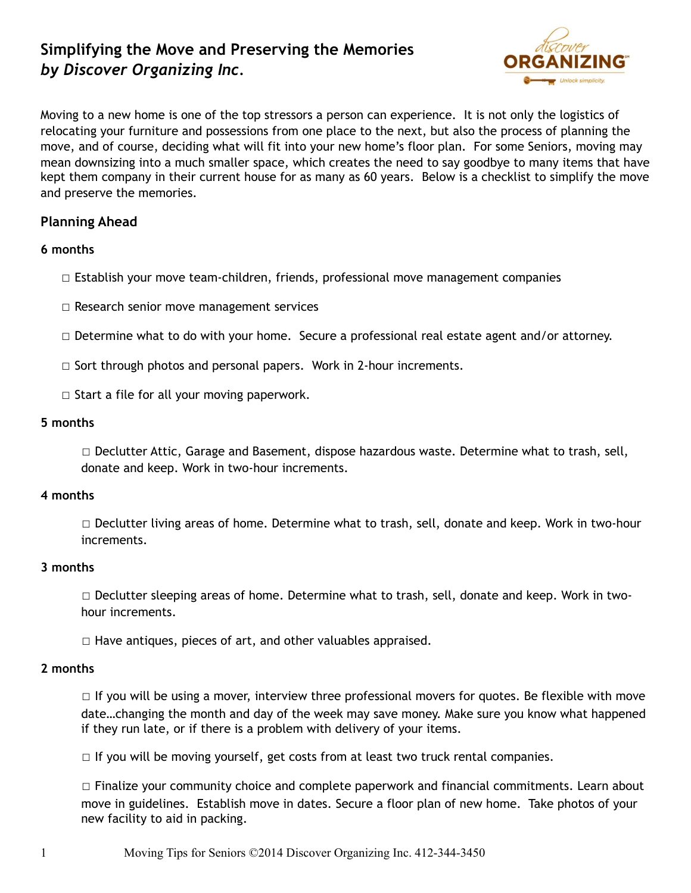# **Simplifying the Move and Preserving the Memories**  *by Discover Organizing Inc.*



Moving to a new home is one of the top stressors a person can experience. It is not only the logistics of relocating your furniture and possessions from one place to the next, but also the process of planning the move, and of course, deciding what will fit into your new home's floor plan. For some Seniors, moving may mean downsizing into a much smaller space, which creates the need to say goodbye to many items that have kept them company in their current house for as many as 60 years. Below is a checklist to simplify the move and preserve the memories.

# **Planning Ahead**

# **6 months**

- $\Box$  Establish your move team-children, friends, professional move management companies
- ☐ Research senior move management services
- ☐ Determine what to do with your home. Secure a professional real estate agent and/or attorney.
- □ Sort through photos and personal papers. Work in 2-hour increments.
- $\Box$  Start a file for all your moving paperwork.

# **5 months**

☐ Declutter Attic, Garage and Basement, dispose hazardous waste. Determine what to trash, sell, donate and keep. Work in two-hour increments.

## **4 months**

☐ Declutter living areas of home. Determine what to trash, sell, donate and keep. Work in two-hour increments.

## **3 months**

□ Declutter sleeping areas of home. Determine what to trash, sell, donate and keep. Work in twohour increments.

 $\Box$  Have antiques, pieces of art, and other valuables appraised.

## **2 months**

 $\Box$  If you will be using a mover, interview three professional movers for quotes. Be flexible with move date…changing the month and day of the week may save money. Make sure you know what happened if they run late, or if there is a problem with delivery of your items.

□ If you will be moving yourself, get costs from at least two truck rental companies.

☐ Finalize your community choice and complete paperwork and financial commitments. Learn about move in guidelines. Establish move in dates. Secure a floor plan of new home. Take photos of your new facility to aid in packing.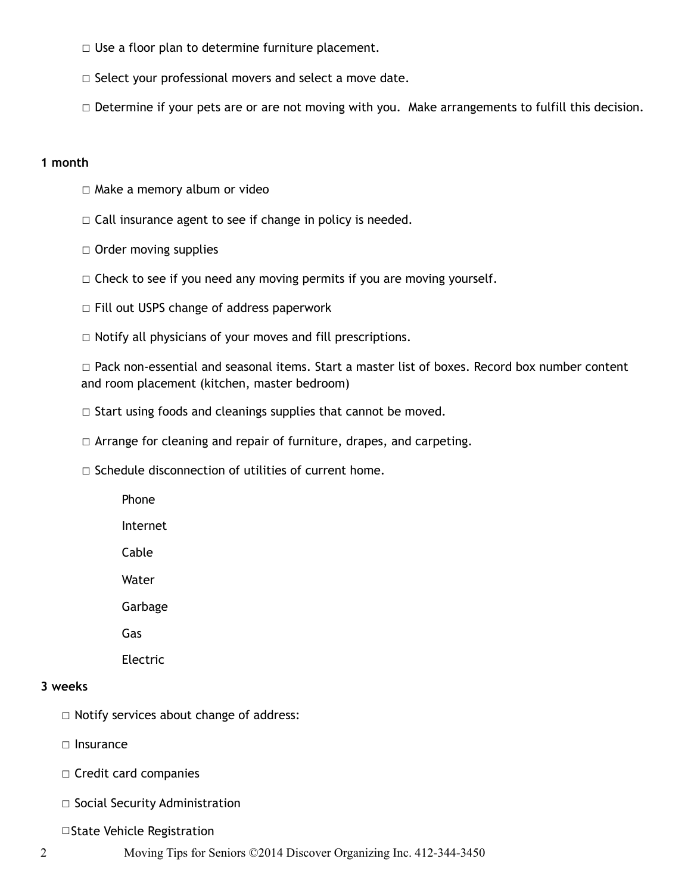- □ Use a floor plan to determine furniture placement.
- □ Select your professional movers and select a move date.
- □ Determine if your pets are or are not moving with you. Make arrangements to fulfill this decision.

#### **1 month**

- ☐ Make a memory album or video
- $\Box$  Call insurance agent to see if change in policy is needed.
- □ Order moving supplies
- $\Box$  Check to see if you need any moving permits if you are moving yourself.
- ☐ Fill out USPS change of address paperwork
- ☐ Notify all physicians of your moves and fill prescriptions.

☐ Pack non-essential and seasonal items. Start a master list of boxes. Record box number content and room placement (kitchen, master bedroom)

- ☐ Start using foods and cleanings supplies that cannot be moved.
- ☐ Arrange for cleaning and repair of furniture, drapes, and carpeting.
- □ Schedule disconnection of utilities of current home.
	- Phone

Internet

Cable

Water

Garbage

Gas

Electric

#### **3 weeks**

☐ Notify services about change of address:

□ Insurance

- ☐ Credit card companies
- ☐ Social Security Administration

☐State Vehicle Registration

2 Moving Tips for Seniors ©2014 Discover Organizing Inc. 412-344-3450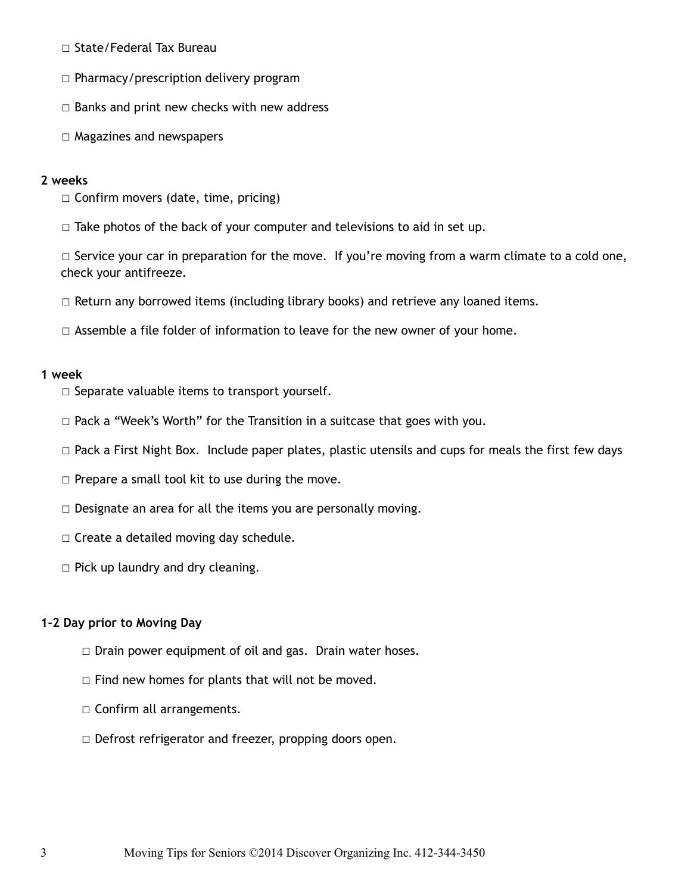- ☐ State/Federal Tax Bureau
- ☐ Pharmacy/prescription delivery program
- $\Box$  Banks and print new checks with new address
- ☐ Magazines and newspapers

## **2 weeks**

☐ Confirm movers (date, time, pricing)

☐ Take photos of the back of your computer and televisions to aid in set up.

□ Service your car in preparation for the move. If you're moving from a warm climate to a cold one, check your antifreeze.

 $\Box$  Return any borrowed items (including library books) and retrieve any loaned items.

 $\Box$  Assemble a file folder of information to leave for the new owner of your home.

#### **1 week**

- $\Box$  Separate valuable items to transport yourself.
- ☐ Pack a "Week's Worth" for the Transition in a suitcase that goes with you.
- $\Box$  Pack a First Night Box. Include paper plates, plastic utensils and cups for meals the first few days
- □ Prepare a small tool kit to use during the move.
- $\Box$  Designate an area for all the items you are personally moving.
- $\Box$  Create a detailed moving day schedule.
- $\Box$  Pick up laundry and dry cleaning.

## **1-2 Day prior to Moving Day**

- □ Drain power equipment of oil and gas. Drain water hoses.
- ☐ Find new homes for plants that will not be moved.
- □ Confirm all arrangements.
- ☐ Defrost refrigerator and freezer, propping doors open.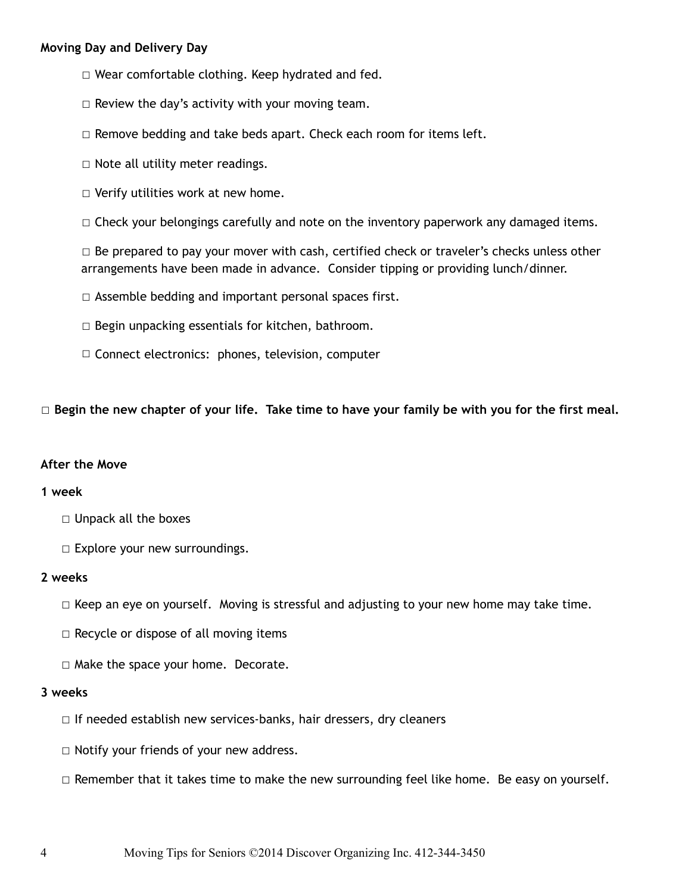## **Moving Day and Delivery Day**

- ☐ Wear comfortable clothing. Keep hydrated and fed.
- $\Box$  Review the day's activity with your moving team.
- $\Box$  Remove bedding and take beds apart. Check each room for items left.
- $\Box$  Note all utility meter readings.
- $\Box$  Verify utilities work at new home.
- □ Check your belongings carefully and note on the inventory paperwork any damaged items.

 $\Box$  Be prepared to pay your mover with cash, certified check or traveler's checks unless other arrangements have been made in advance. Consider tipping or providing lunch/dinner.

- ☐ Assemble bedding and important personal spaces first.
- $\Box$  Begin unpacking essentials for kitchen, bathroom.
- ☐ Connect electronics: phones, television, computer

□ Begin the new chapter of your life. Take time to have your family be with you for the first meal.

#### **After the Move**

#### **1 week**

- ☐ Unpack all the boxes
- □ Explore your new surroundings.

#### **2 weeks**

- $\Box$  Keep an eye on yourself. Moving is stressful and adjusting to your new home may take time.
- $\Box$  Recycle or dispose of all moving items
- ☐ Make the space your home. Decorate.

#### **3 weeks**

- □ If needed establish new services-banks, hair dressers, dry cleaners
- ☐ Notify your friends of your new address.
- $\Box$  Remember that it takes time to make the new surrounding feel like home. Be easy on yourself.